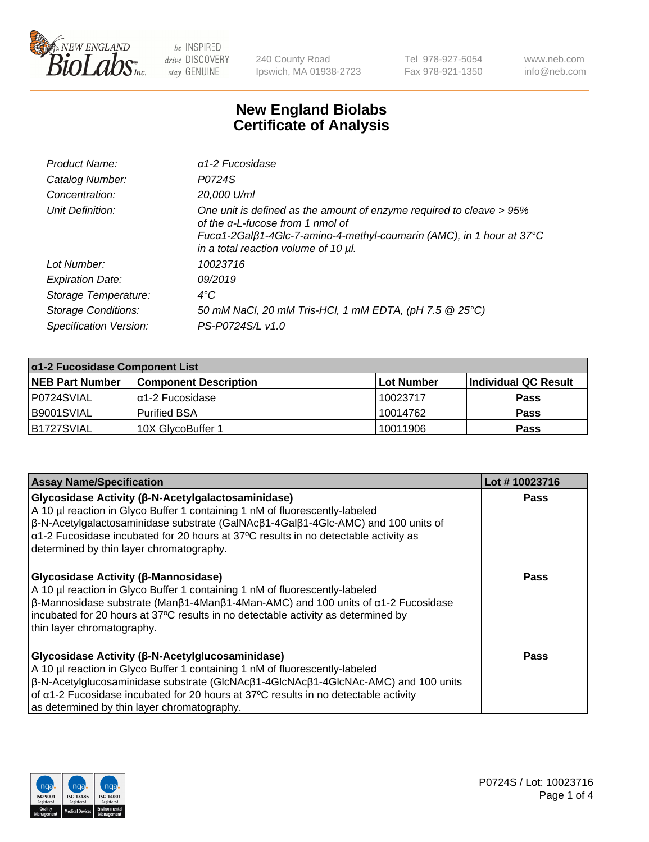

240 County Road Ipswich, MA 01938-2723 Tel 978-927-5054 Fax 978-921-1350 www.neb.com info@neb.com

## **New England Biolabs Certificate of Analysis**

| Product Name:              | $\alpha$ 1-2 Fucosidase                                                                                                                                                                                                  |
|----------------------------|--------------------------------------------------------------------------------------------------------------------------------------------------------------------------------------------------------------------------|
| Catalog Number:            | P0724S                                                                                                                                                                                                                   |
| Concentration:             | 20,000 U/ml                                                                                                                                                                                                              |
| Unit Definition:           | One unit is defined as the amount of enzyme required to cleave > 95%<br>of the a-L-fucose from 1 nmol of<br>Fucα1-2Galβ1-4Glc-7-amino-4-methyl-coumarin (AMC), in 1 hour at 37°C<br>in a total reaction volume of 10 µl. |
| Lot Number:                | 10023716                                                                                                                                                                                                                 |
| <b>Expiration Date:</b>    | 09/2019                                                                                                                                                                                                                  |
| Storage Temperature:       | $4^{\circ}$ C                                                                                                                                                                                                            |
| <b>Storage Conditions:</b> | 50 mM NaCl, 20 mM Tris-HCl, 1 mM EDTA, (pH 7.5 @ 25°C)                                                                                                                                                                   |
| Specification Version:     | PS-P0724S/L v1.0                                                                                                                                                                                                         |

| $\alpha$ 1-2 Fucosidase Component List |                              |                   |                      |  |
|----------------------------------------|------------------------------|-------------------|----------------------|--|
| <b>NEB Part Number</b>                 | <b>Component Description</b> | <b>Lot Number</b> | Individual QC Result |  |
| P0724SVIAL                             | $\alpha$ 1-2 Fucosidase      | 10023717          | <b>Pass</b>          |  |
| B9001SVIAL                             | l Purified BSA               | 10014762          | <b>Pass</b>          |  |
| B1727SVIAL                             | 10X GlycoBuffer 1            | 10011906          | <b>Pass</b>          |  |

| <b>Assay Name/Specification</b>                                                                                                                                                                                                                                                                                                                                                                 | Lot #10023716 |
|-------------------------------------------------------------------------------------------------------------------------------------------------------------------------------------------------------------------------------------------------------------------------------------------------------------------------------------------------------------------------------------------------|---------------|
| <b>Glycosidase Activity (β-N-Acetylgalactosaminidase)</b><br>A 10 µl reaction in Glyco Buffer 1 containing 1 nM of fluorescently-labeled<br>$\beta$ -N-Acetylgalactosaminidase substrate (GalNAc $\beta$ 1-4Gal $\beta$ 1-4Glc-AMC) and 100 units of<br>$\alpha$ 1-2 Fucosidase incubated for 20 hours at 37°C results in no detectable activity as<br>determined by thin layer chromatography. | <b>Pass</b>   |
| <b>Glycosidase Activity (β-Mannosidase)</b><br>A 10 µl reaction in Glyco Buffer 1 containing 1 nM of fluorescently-labeled<br>$\beta$ -Mannosidase substrate (Man $\beta$ 1-4Man $\beta$ 1-4Man-AMC) and 100 units of $\alpha$ 1-2 Fucosidase<br>incubated for 20 hours at 37°C results in no detectable activity as determined by<br>thin layer chromatography.                                | Pass          |
| <b>Glycosidase Activity (β-N-Acetylglucosaminidase)</b><br>A 10 µl reaction in Glyco Buffer 1 containing 1 nM of fluorescently-labeled<br>$\beta$ -N-Acetylglucosaminidase substrate (GlcNAc $\beta$ 1-4GlcNAc $\beta$ 1-4GlcNAc-AMC) and 100 units<br>of α1-2 Fucosidase incubated for 20 hours at 37°C results in no detectable activity<br>as determined by thin layer chromatography.       | Pass          |

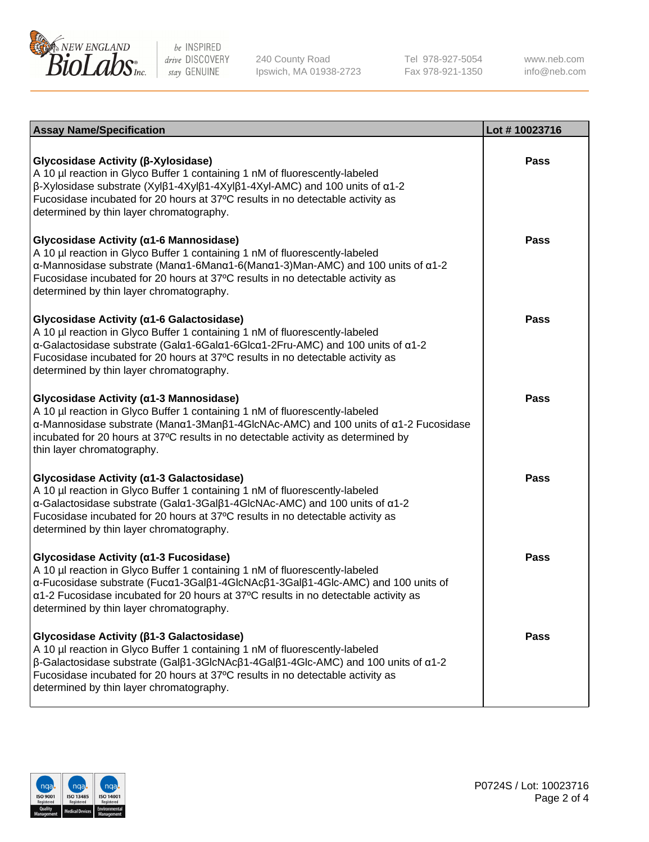

240 County Road Ipswich, MA 01938-2723 Tel 978-927-5054 Fax 978-921-1350

www.neb.com info@neb.com

| <b>Assay Name/Specification</b>                                                                                                                                                                                                                                                                                                                                                            | Lot #10023716 |
|--------------------------------------------------------------------------------------------------------------------------------------------------------------------------------------------------------------------------------------------------------------------------------------------------------------------------------------------------------------------------------------------|---------------|
| Glycosidase Activity (β-Xylosidase)<br>A 10 µl reaction in Glyco Buffer 1 containing 1 nM of fluorescently-labeled<br>$\beta$ -Xylosidase substrate (Xylβ1-4Xylβ1-4Xylβ1-4Xyl-AMC) and 100 units of $\alpha$ 1-2<br>Fucosidase incubated for 20 hours at 37°C results in no detectable activity as<br>determined by thin layer chromatography.                                             | Pass          |
| Glycosidase Activity (α1-6 Mannosidase)<br>A 10 µl reaction in Glyco Buffer 1 containing 1 nM of fluorescently-labeled<br>$\alpha$ -Mannosidase substrate (Man $\alpha$ 1-6Man $\alpha$ 1-6(Man $\alpha$ 1-3)Man-AMC) and 100 units of $\alpha$ 1-2<br>Fucosidase incubated for 20 hours at 37°C results in no detectable activity as<br>determined by thin layer chromatography.          | Pass          |
| Glycosidase Activity (a1-6 Galactosidase)<br>A 10 µl reaction in Glyco Buffer 1 containing 1 nM of fluorescently-labeled<br>α-Galactosidase substrate (Galα1-6Galα1-6Glcα1-2Fru-AMC) and 100 units of α1-2<br>Fucosidase incubated for 20 hours at 37°C results in no detectable activity as<br>determined by thin layer chromatography.                                                   | <b>Pass</b>   |
| Glycosidase Activity (α1-3 Mannosidase)<br>A 10 µl reaction in Glyco Buffer 1 containing 1 nM of fluorescently-labeled<br>α-Mannosidase substrate (Μanα1-3Μanβ1-4GlcNAc-AMC) and 100 units of α1-2 Fucosidase<br>incubated for 20 hours at 37°C results in no detectable activity as determined by<br>thin layer chromatography.                                                           | <b>Pass</b>   |
| Glycosidase Activity (α1-3 Galactosidase)<br>A 10 µl reaction in Glyco Buffer 1 containing 1 nM of fluorescently-labeled<br>α-Galactosidase substrate (Galα1-3Galβ1-4GlcNAc-AMC) and 100 units of α1-2<br>Fucosidase incubated for 20 hours at 37°C results in no detectable activity as<br>determined by thin layer chromatography.                                                       | <b>Pass</b>   |
| Glycosidase Activity (a1-3 Fucosidase)<br>A 10 µl reaction in Glyco Buffer 1 containing 1 nM of fluorescently-labeled<br>α-Fucosidase substrate (Fucα1-3Galβ1-4GlcNAcβ1-3Galβ1-4Glc-AMC) and 100 units of<br>a1-2 Fucosidase incubated for 20 hours at 37°C results in no detectable activity as<br>determined by thin layer chromatography.                                               | <b>Pass</b>   |
| Glycosidase Activity ( $\beta$ 1-3 Galactosidase)<br>A 10 µl reaction in Glyco Buffer 1 containing 1 nM of fluorescently-labeled<br>$\beta$ -Galactosidase substrate (Gal $\beta$ 1-3GlcNAc $\beta$ 1-4Gal $\beta$ 1-4Glc-AMC) and 100 units of $\alpha$ 1-2<br>Fucosidase incubated for 20 hours at 37°C results in no detectable activity as<br>determined by thin layer chromatography. | <b>Pass</b>   |

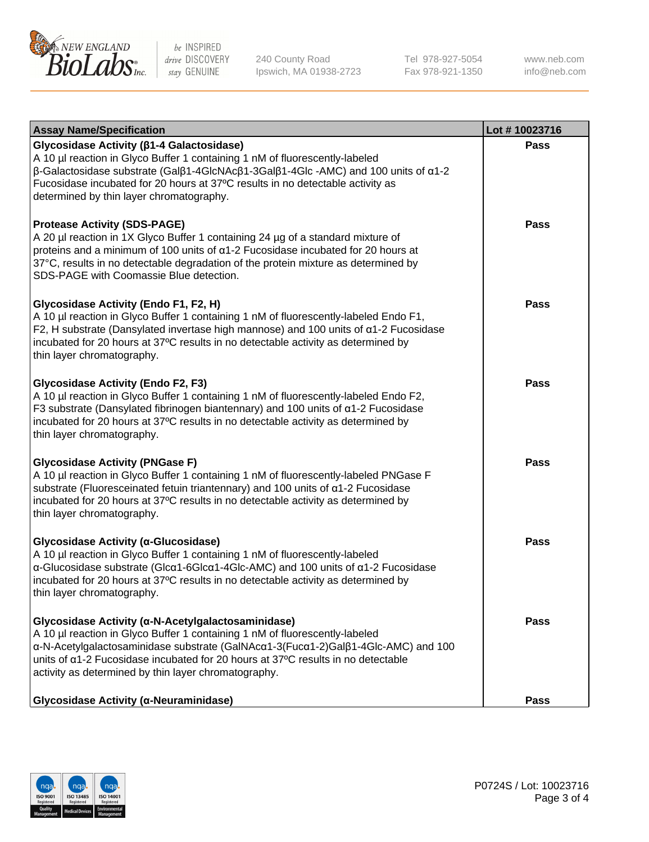

240 County Road Ipswich, MA 01938-2723 Tel 978-927-5054 Fax 978-921-1350 www.neb.com info@neb.com

| <b>Assay Name/Specification</b>                                                                                                                                                                                                                                                                                                                                                             | Lot #10023716 |
|---------------------------------------------------------------------------------------------------------------------------------------------------------------------------------------------------------------------------------------------------------------------------------------------------------------------------------------------------------------------------------------------|---------------|
| Glycosidase Activity ( $\beta$ 1-4 Galactosidase)<br>A 10 µl reaction in Glyco Buffer 1 containing 1 nM of fluorescently-labeled<br>$\beta$ -Galactosidase substrate (Gal $\beta$ 1-4GlcNAc $\beta$ 1-3Gal $\beta$ 1-4Glc -AMC) and 100 units of $\alpha$ 1-2<br>Fucosidase incubated for 20 hours at 37°C results in no detectable activity as<br>determined by thin layer chromatography. | <b>Pass</b>   |
| <b>Protease Activity (SDS-PAGE)</b><br>A 20 µl reaction in 1X Glyco Buffer 1 containing 24 µg of a standard mixture of<br>proteins and a minimum of 100 units of a1-2 Fucosidase incubated for 20 hours at<br>37°C, results in no detectable degradation of the protein mixture as determined by<br>SDS-PAGE with Coomassie Blue detection.                                                 | Pass          |
| Glycosidase Activity (Endo F1, F2, H)<br>A 10 µl reaction in Glyco Buffer 1 containing 1 nM of fluorescently-labeled Endo F1,<br>F2, H substrate (Dansylated invertase high mannose) and 100 units of $\alpha$ 1-2 Fucosidase<br>incubated for 20 hours at 37°C results in no detectable activity as determined by<br>thin layer chromatography.                                            | <b>Pass</b>   |
| <b>Glycosidase Activity (Endo F2, F3)</b><br>A 10 µl reaction in Glyco Buffer 1 containing 1 nM of fluorescently-labeled Endo F2,<br>F3 substrate (Dansylated fibrinogen biantennary) and 100 units of a1-2 Fucosidase<br>incubated for 20 hours at 37°C results in no detectable activity as determined by<br>thin layer chromatography.                                                   | <b>Pass</b>   |
| <b>Glycosidase Activity (PNGase F)</b><br>A 10 µl reaction in Glyco Buffer 1 containing 1 nM of fluorescently-labeled PNGase F<br>substrate (Fluoresceinated fetuin triantennary) and 100 units of a1-2 Fucosidase<br>incubated for 20 hours at 37°C results in no detectable activity as determined by<br>thin layer chromatography.                                                       | <b>Pass</b>   |
| Glycosidase Activity (α-Glucosidase)<br>A 10 µl reaction in Glyco Buffer 1 containing 1 nM of fluorescently-labeled<br>α-Glucosidase substrate (Glcα1-6Glcα1-4Glc-AMC) and 100 units of α1-2 Fucosidase<br>incubated for 20 hours at 37°C results in no detectable activity as determined by<br>thin layer chromatography.                                                                  | <b>Pass</b>   |
| Glycosidase Activity (α-N-Acetylgalactosaminidase)<br>A 10 µl reaction in Glyco Buffer 1 containing 1 nM of fluorescently-labeled<br>α-N-Acetylgalactosaminidase substrate (GalNAcα1-3(Fucα1-2)Galβ1-4Glc-AMC) and 100<br>units of $\alpha$ 1-2 Fucosidase incubated for 20 hours at 37 $\degree$ C results in no detectable<br>activity as determined by thin layer chromatography.        | <b>Pass</b>   |
| Glycosidase Activity (α-Neuraminidase)                                                                                                                                                                                                                                                                                                                                                      | Pass          |